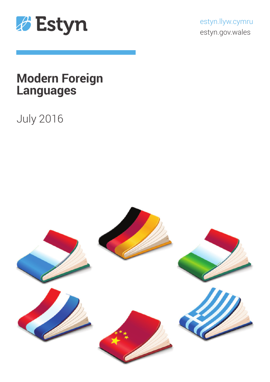

estyn.llyw.cymru estyn.gov.wales

# **Modern Foreign Languages**

# July 2016

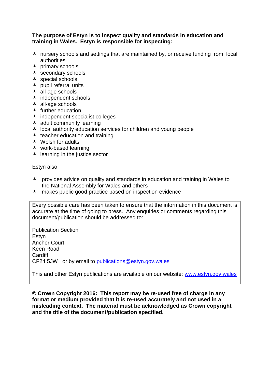#### **The purpose of Estyn is to inspect quality and standards in education and training in Wales. Estyn is responsible for inspecting:**

- $\lambda$  nursery schools and settings that are maintained by, or receive funding from, local authorities
- $\overline{\phantom{a}}$  primary schools
- $\overline{\phantom{a}}$  secondary schools
- $\triangle$  special schools
- $\lambda$  pupil referral units
- $\overline{\phantom{a}}$  all-age schools
- $\overline{\phantom{a}}$  independent schools
- $\overline{\phantom{a}}$  all-age schools
- $\blacktriangle$  further education
- $\overline{\phantom{a}}$  independent specialist colleges
- $\triangle$  adult community learning
- $\lambda$  local authority education services for children and young people
- $\lambda$  teacher education and training
- Welsh for adults
- work-based learning
- $\overline{\phantom{a}}$  learning in the justice sector

Estyn also:

- A provides advice on quality and standards in education and training in Wales to the National Assembly for Wales and others
- A makes public good practice based on inspection evidence

Every possible care has been taken to ensure that the information in this document is accurate at the time of going to press. Any enquiries or comments regarding this document/publication should be addressed to:

Publication Section Estyn Anchor Court Keen Road **Cardiff** CF24 5JW or by email to [publications@estyn.gov.wales](mailto:publications@estyn.gov.wales)

This and other Estyn publications are available on our website: [www.estyn.gov.wales](http://www.estyn.gov.wales/)

**© Crown Copyright 2016: This report may be re-used free of charge in any format or medium provided that it is re-used accurately and not used in a misleading context. The material must be acknowledged as Crown copyright and the title of the document/publication specified.**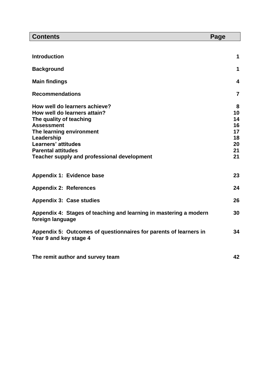| <b>Contents</b>                                                                                                                                                                                                                                                          | Page                                              |
|--------------------------------------------------------------------------------------------------------------------------------------------------------------------------------------------------------------------------------------------------------------------------|---------------------------------------------------|
|                                                                                                                                                                                                                                                                          |                                                   |
| <b>Introduction</b>                                                                                                                                                                                                                                                      | 1                                                 |
| <b>Background</b>                                                                                                                                                                                                                                                        | 1                                                 |
| <b>Main findings</b>                                                                                                                                                                                                                                                     | 4                                                 |
| <b>Recommendations</b>                                                                                                                                                                                                                                                   | $\overline{7}$                                    |
| How well do learners achieve?<br>How well do learners attain?<br>The quality of teaching<br><b>Assessment</b><br>The learning environment<br>Leadership<br><b>Learners' attitudes</b><br><b>Parental attitudes</b><br><b>Teacher supply and professional development</b> | 8<br>10<br>14<br>16<br>17<br>18<br>20<br>21<br>21 |
| Appendix 1: Evidence base                                                                                                                                                                                                                                                | 23                                                |
| <b>Appendix 2: References</b>                                                                                                                                                                                                                                            | 24                                                |
| <b>Appendix 3: Case studies</b>                                                                                                                                                                                                                                          | 26                                                |
| Appendix 4: Stages of teaching and learning in mastering a modern<br>foreign language                                                                                                                                                                                    | 30                                                |
| Appendix 5: Outcomes of questionnaires for parents of learners in<br>Year 9 and key stage 4                                                                                                                                                                              | 34                                                |
| The remit author and survey team                                                                                                                                                                                                                                         | 42                                                |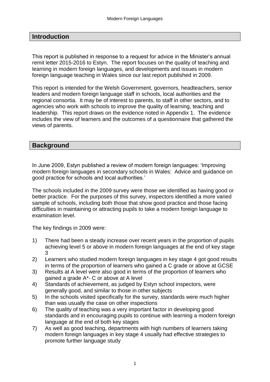## **Introduction**

This report is published in response to a request for advice in the Minister's annual remit letter 2015-2016 to Estyn. The report focuses on the quality of teaching and learning in modern foreign languages, and developments and issues in modern foreign language teaching in Wales since our last report published in 2009.

This report is intended for the Welsh Government, governors, headteachers, senior leaders and modern foreign language staff in schools, local authorities and the regional consortia. It may be of interest to parents, to staff in other sectors, and to agencies who work with schools to improve the quality of learning, teaching and leadership. This report draws on the evidence noted in Appendix 1. The evidence includes the view of learners and the outcomes of a questionnaire that gathered the views of parents.

#### **Background**

In June 2009, Estyn published a review of modern foreign languages: 'Improving modern foreign languages in secondary schools in Wales: Advice and guidance on good practice for schools and local authorities.'

The schools included in the 2009 survey were those we identified as having good or better practice. For the purposes of this survey, inspectors identified a more varied sample of schools, including both those that show good practice and those facing difficulties in maintaining or attracting pupils to take a modern foreign language to examination level.

The key findings in 2009 were:

- 1) There had been a steady increase over recent years in the proportion of pupils achieving level 5 or above in modern foreign languages at the end of key stage 3
- 2) Learners who studied modern foreign languages in key stage 4 got good results in terms of the proportion of learners who gained a C grade or above at GCSE
- 3) Results at A level were also good in terms of the proportion of learners who gained a grade A\*- C or above at A level
- 4) Standards of achievement, as judged by Estyn school inspectors, were generally good, and similar to those in other subjects
- 5) In the schools visited specifically for the survey, standards were much higher than was usually the case on other inspections
- 6) The quality of teaching was a very important factor in developing good standards and in encouraging pupils to continue with learning a modern foreign language at the end of both key stages
- 7) As well as good teaching, departments with high numbers of learners taking modern foreign languages in key stage 4 usually had effective strategies to promote further language study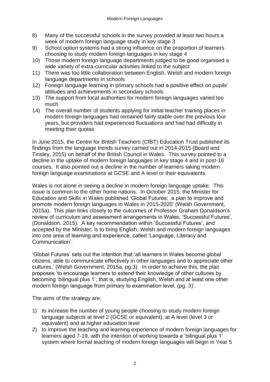- 8) Many of the successful schools in the survey provided at least two hours a week of modern foreign language study in key stage 3
- 9) School option systems had a strong influence on the proportion of learners choosing to study modern foreign languages in key stage 4
- 10) Those modern foreign language departments judged to be good organised a wide variety of extra-curricular activities linked to the subject
- 11) There was too little collaboration between English, Welsh and modern foreign language departments in schools
- 12) Foreign language learning in primary schools had a positive effect on pupils' attitudes and achievements in secondary schools
- 13) The support from local authorities for modern foreign languages varied too much
- 14) The overall number of students applying for initial teacher training places in modern foreign languages had remained fairly stable over the previous four years, but providers had experienced fluctuations and had had difficulty in meeting their quotas

In June 2015, the Centre for British Teachers (CfBT) Education Trust published its findings from the language trends survey carried out in 2014-2015 (Board and Tinsley, 2015) on behalf of the British Council in Wales. This survey pointed to a decline in the uptake of modern foreign languages in key stage 4 and in post-16 courses. It also pointed out a decline in the number of learners taking modern foreign language examinations at GCSE and A level or their equivalents.

Wales is not alone in seeing a decline in modern foreign language uptake. This issue is common to the other home nations. In October 2015, the Minister for Education and Skills in Wales published 'Global Futures: a plan to improve and promote modern foreign languages in Wales in 2015-2020' (Welsh Government, 2015a). This plan links closely to the outcomes of Professor Graham Donaldson's review of curriculum and assessment arrangements in Wales, 'Successful Futures', (Donaldson, 2015). A key recommendation within 'Successful Futures', and accepted by the Minister, is to bring English, Welsh and modern foreign languages into one area of learning and experience, called 'Language, Literacy and Communication'.

'Global Futures' sets out the intention that 'all learners in Wales become global citizens, able to communicate effectively in other languages and to appreciate other cultures,' (Welsh Government, 2015a, pg.3). In order to achieve this, the plan proposes 'to encourage learners to extend their knowledge of other cultures by becoming 'bilingual plus 1'; that is, studying English, Welsh and at least one other modern foreign language from primary to examination level, (pg. 3)'.

The aims of the strategy are:

- 1) to increase the number of young people choosing to study modern foreign language subjects at level 2 (GCSE or equivalent), at A level (level 3 or equivalent) and at higher education level
- 2) to improve the teaching and learning experience of modern foreign languages for learners aged 7-19, with the intention of working towards a 'bilingual plus 1' system where formal teaching of modern foreign languages will begin in Year 5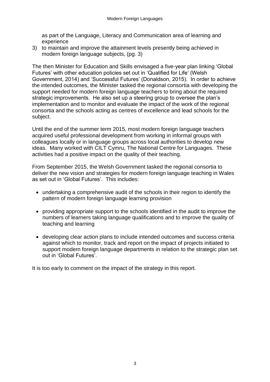as part of the Language, Literacy and Communication area of learning and experience

3) to maintain and improve the attainment levels presently being achieved in modern foreign language subjects, (pg. 3)

The then Minister for Education and Skills envisaged a five-year plan linking 'Global Futures' with other education policies set out in 'Qualified for Life' (Welsh Government, 2014) and 'Successful Futures' (Donaldson, 2015). In order to achieve the intended outcomes, the Minister tasked the regional consortia with developing the support needed for modern foreign language teachers to bring about the required strategic improvements. He also set up a steering group to oversee the plan's implementation and to monitor and evaluate the impact of the work of the regional consortia and the schools acting as centres of excellence and lead schools for the subject.

Until the end of the summer term 2015, most modern foreign language teachers acquired useful professional development from working in informal groups with colleagues locally or in language groups across local authorities to develop new ideas. Many worked with CILT Cymru, The National Centre for Languages. These activities had a positive impact on the quality of their teaching.

From September 2015, the Welsh Government tasked the regional consortia to deliver the new vision and strategies for modern foreign language teaching in Wales as set out in 'Global Futures'. This includes:

- undertaking a comprehensive audit of the schools in their region to identify the pattern of modern foreign language learning provision
- providing appropriate support to the schools identified in the audit to improve the numbers of learners taking language qualifications and to improve the quality of teaching and learning
- developing clear action plans to include intended outcomes and success criteria against which to monitor, track and report on the impact of projects initiated to support modern foreign language departments in relation to the strategic plan set out in 'Global Futures'.

It is too early to comment on the impact of the strategy in this report.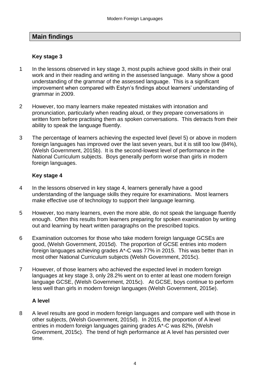## **Main findings**

## **Key stage 3**

- 1 In the lessons observed in key stage 3, most pupils achieve good skills in their oral work and in their reading and writing in the assessed language. Many show a good understanding of the grammar of the assessed language. This is a significant improvement when compared with Estyn's findings about learners' understanding of grammar in 2009.
- 2 However, too many learners make repeated mistakes with intonation and pronunciation, particularly when reading aloud, or they prepare conversations in written form before practising them as spoken conversations. This detracts from their ability to speak the language fluently.
- 3 The percentage of learners achieving the expected level (level 5) or above in modern foreign languages has improved over the last seven years, but it is still too low (84%), (Welsh Government, 2015b). It is the second-lowest level of performance in the National Curriculum subjects. Boys generally perform worse than girls in modern foreign languages.

## **Key stage 4**

- 4 In the lessons observed in key stage 4, learners generally have a good understanding of the language skills they require for examinations. Most learners make effective use of technology to support their language learning.
- 5 However, too many learners, even the more able, do not speak the language fluently enough. Often this results from learners preparing for spoken examination by writing out and learning by heart written paragraphs on the prescribed topics.
- 6 Examination outcomes for those who take modern foreign language GCSEs are good, (Welsh Government, 2015d). The proportion of GCSE entries into modern foreign languages achieving grades A\*-C was 77% in 2015. This was better than in most other National Curriculum subjects (Welsh Government, 2015c).
- 7 However, of those learners who achieved the expected level in modern foreign languages at key stage 3, only 28.2% went on to enter at least one modern foreign language GCSE, (Welsh Government, 2015c). At GCSE, boys continue to perform less well than girls in modern foreign languages (Welsh Government, 2015e).

### **A level**

8 A level results are good in modern foreign languages and compare well with those in other subjects, (Welsh Government, 2015d). In 2015, the proportion of A level entries in modern foreign languages gaining grades A\*-C was 82%, (Welsh Government, 2015c). The trend of high performance at A level has persisted over time.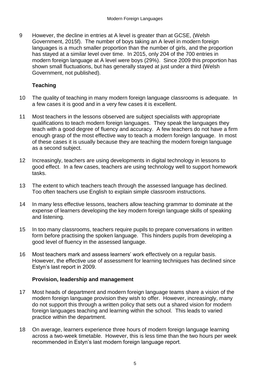9 However, the decline in entries at A level is greater than at GCSE, (Welsh Government, 2015f). The number of boys taking an A level in modern foreign languages is a much smaller proportion than the number of girls, and the proportion has stayed at a similar level over time. In 2015, only 204 of the 700 entries in modern foreign language at A level were boys (29%). Since 2009 this proportion has shown small fluctuations, but has generally stayed at just under a third (Welsh Government, not published).

## **Teaching**

- 10 The quality of teaching in many modern foreign language classrooms is adequate. In a few cases it is good and in a very few cases it is excellent.
- 11 Most teachers in the lessons observed are subject specialists with appropriate qualifications to teach modern foreign languages. They speak the languages they teach with a good degree of fluency and accuracy. A few teachers do not have a firm enough grasp of the most effective way to teach a modern foreign language. In most of these cases it is usually because they are teaching the modern foreign language as a second subject.
- 12 Increasingly, teachers are using developments in digital technology in lessons to good effect. In a few cases, teachers are using technology well to support homework tasks.
- 13 The extent to which teachers teach through the assessed language has declined. Too often teachers use English to explain simple classroom instructions.
- 14 In many less effective lessons, teachers allow teaching grammar to dominate at the expense of learners developing the key modern foreign language skills of speaking and listening.
- 15 In too many classrooms, teachers require pupils to prepare conversations in written form before practising the spoken language. This hinders pupils from developing a good level of fluency in the assessed language.
- 16 Most teachers mark and assess learners' work effectively on a regular basis. However, the effective use of assessment for learning techniques has declined since Estyn's last report in 2009.

#### **Provision, leadership and management**

- 17 Most heads of department and modern foreign language teams share a vision of the modern foreign language provision they wish to offer. However, increasingly, many do not support this through a written policy that sets out a shared vision for modern foreign languages teaching and learning within the school. This leads to varied practice within the department.
- 18 On average, learners experience three hours of modern foreign language learning across a two-week timetable. However, this is less time than the two hours per week recommended in Estyn's last modern foreign language report.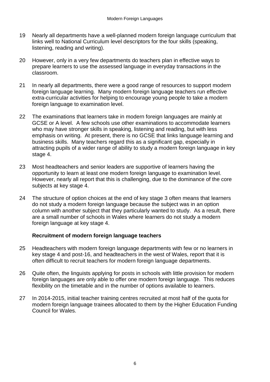- 19 Nearly all departments have a well-planned modern foreign language curriculum that links well to National Curriculum level descriptors for the four skills (speaking, listening, reading and writing).
- 20 However, only in a very few departments do teachers plan in effective ways to prepare learners to use the assessed language in everyday transactions in the classroom.
- 21 In nearly all departments, there were a good range of resources to support modern foreign language learning. Many modern foreign language teachers run effective extra-curricular activities for helping to encourage young people to take a modern foreign language to examination level.
- 22 The examinations that learners take in modern foreign languages are mainly at GCSE or A level. A few schools use other examinations to accommodate learners who may have stronger skills in speaking, listening and reading, but with less emphasis on writing. At present, there is no GCSE that links language learning and business skills. Many teachers regard this as a significant gap, especially in attracting pupils of a wider range of ability to study a modern foreign language in key stage 4.
- 23 Most headteachers and senior leaders are supportive of learners having the opportunity to learn at least one modern foreign language to examination level. However, nearly all report that this is challenging, due to the dominance of the core subjects at key stage 4.
- 24 The structure of option choices at the end of key stage 3 often means that learners do not study a modern foreign language because the subject was in an option column with another subject that they particularly wanted to study. As a result, there are a small number of schools in Wales where learners do not study a modern foreign language at key stage 4.

### **Recruitment of modern foreign language teachers**

- 25 Headteachers with modern foreign language departments with few or no learners in key stage 4 and post-16, and headteachers in the west of Wales, report that it is often difficult to recruit teachers for modern foreign language departments.
- 26 Quite often, the linguists applying for posts in schools with little provision for modern foreign languages are only able to offer one modern foreign language. This reduces flexibility on the timetable and in the number of options available to learners.
- 27 In 2014-2015, initial teacher training centres recruited at most half of the quota for modern foreign language trainees allocated to them by the Higher Education Funding Council for Wales.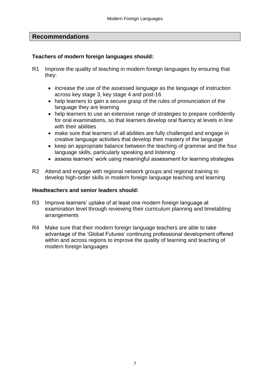## **Recommendations**

#### **Teachers of modern foreign languages should:**

- R1 Improve the quality of teaching in modern foreign languages by ensuring that they:
	- increase the use of the assessed language as the language of instruction across key stage 3, key stage 4 and post-16
	- help learners to gain a secure grasp of the rules of pronunciation of the language they are learning
	- help learners to use an extensive range of strategies to prepare confidently for oral examinations, so that learners develop oral fluency at levels in line with their abilities
	- make sure that learners of all abilities are fully challenged and engage in creative language activities that develop their mastery of the language
	- keep an appropriate balance between the teaching of grammar and the four language skills, particularly speaking and listening
	- assess learners' work using meaningful assessment for learning strategies
- R2 Attend and engage with regional network groups and regional training to develop high-order skills in modern foreign language teaching and learning

#### **Headteachers and senior leaders should:**

- R3 Improve learners' uptake of at least one modern foreign language at examination level through reviewing their curriculum planning and timetabling arrangements
- R4 Make sure that their modern foreign language teachers are able to take advantage of the 'Global Futures' continuing professional development offered within and across regions to improve the quality of learning and teaching of modern foreign languages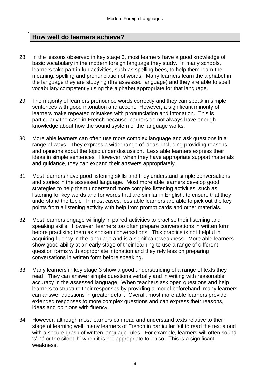## **How well do learners achieve?**

- 28 In the lessons observed in key stage 3, most learners have a good knowledge of basic vocabulary in the modern foreign language they study. In many schools, learners take part in fun activities, such as spelling bees, to help them learn the meaning, spelling and pronunciation of words. Many learners learn the alphabet in the language they are studying (the assessed language) and they are able to spell vocabulary competently using the alphabet appropriate for that language.
- 29 The majority of learners pronounce words correctly and they can speak in simple sentences with good intonation and accent. However, a significant minority of learners make repeated mistakes with pronunciation and intonation. This is particularly the case in French because learners do not always have enough knowledge about how the sound system of the language works.
- 30 More able learners can often use more complex language and ask questions in a range of ways. They express a wider range of ideas, including providing reasons and opinions about the topic under discussion. Less able learners express their ideas in simple sentences. However, when they have appropriate support materials and guidance, they can expand their answers appropriately.
- 31 Most learners have good listening skills and they understand simple conversations and stories in the assessed language. Most more able learners develop good strategies to help them understand more complex listening activities, such as listening for key words and for words that are similar in English, to ensure that they understand the topic. In most cases, less able learners are able to pick out the key points from a listening activity with help from prompt cards and other materials.
- 32 Most learners engage willingly in paired activities to practise their listening and speaking skills. However, learners too often prepare conversations in written form before practising them as spoken conversations. This practice is not helpful in acquiring fluency in the language and is a significant weakness. More able learners show good ability at an early stage of their learning to use a range of different question forms with appropriate intonation and they rely less on preparing conversations in written form before speaking.
- 33 Many learners in key stage 3 show a good understanding of a range of texts they read. They can answer simple questions verbally and in writing with reasonable accuracy in the assessed language. When teachers ask open questions and help learners to structure their responses by providing a model beforehand, many learners can answer questions in greater detail. Overall, most more able learners provide extended responses to more complex questions and can express their reasons, ideas and opinions with fluency.
- 34 However, although most learners can read and understand texts relative to their stage of learning well, many learners of French in particular fail to read the text aloud with a secure grasp of written language rules. For example, learners will often sound 's', 't' or the silent 'h' when it is not appropriate to do so. This is a significant weakness.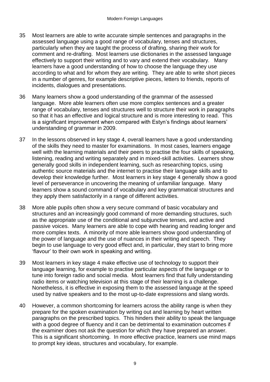- 35 Most learners are able to write accurate simple sentences and paragraphs in the assessed language using a good range of vocabulary, tenses and structures, particularly when they are taught the process of drafting, sharing their work for comment and re-drafting. Most learners use dictionaries in the assessed language effectively to support their writing and to vary and extend their vocabulary. Many learners have a good understanding of how to choose the language they use according to what and for whom they are writing. They are able to write short pieces in a number of genres, for example descriptive pieces, letters to friends, reports of incidents, dialogues and presentations.
- 36 Many learners show a good understanding of the grammar of the assessed language. More able learners often use more complex sentences and a greater range of vocabulary, tenses and structures well to structure their work in paragraphs so that it has an effective and logical structure and is more interesting to read. This is a significant improvement when compared with Estyn's findings about learners' understanding of grammar in 2009.
- 37 In the lessons observed in key stage 4, overall learners have a good understanding of the skills they need to master for examinations. In most cases, learners engage well with the learning materials and their peers to practise the four skills of speaking, listening, reading and writing separately and in mixed-skill activities. Learners show generally good skills in independent learning, such as researching topics, using authentic source materials and the internet to practise their language skills and to develop their knowledge further. Most learners in key stage 4 generally show a good level of perseverance in uncovering the meaning of unfamiliar language. Many learners show a sound command of vocabulary and key grammatical structures and they apply them satisfactorily in a range of different activities.
- 38 More able pupils often show a very secure command of basic vocabulary and structures and an increasingly good command of more demanding structures, such as the appropriate use of the conditional and subjunctive tenses, and active and passive voices. Many learners are able to cope with hearing and reading longer and more complex texts. A minority of more able learners show good understanding of the power of language and the use of nuances in their writing and speech. They begin to use language to very good effect and, in particular, they start to bring more 'flavour' to their own work in speaking and writing.
- 39 Most learners in key stage 4 make effective use of technology to support their language learning, for example to practise particular aspects of the language or to tune into foreign radio and social media. Most learners find that fully understanding radio items or watching television at this stage of their learning is a challenge. Nonetheless, it is effective in exposing them to the assessed language at the speed used by native speakers and to the most up-to-date expressions and slang words.
- 40 However, a common shortcoming for learners across the ability range is when they prepare for the spoken examination by writing out and learning by heart written paragraphs on the prescribed topics. This hinders their ability to speak the language with a good degree of fluency and it can be detrimental to examination outcomes if the examiner does not ask the question for which they have prepared an answer. This is a significant shortcoming. In more effective practice, learners use mind maps to prompt key ideas, structures and vocabulary, for example.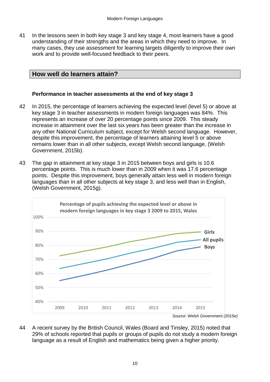41 In the lessons seen in both key stage 3 and key stage 4, most learners have a good understanding of their strengths and the areas in which they need to improve. In many cases, they use assessment for learning targets diligently to improve their own work and to provide well-focused feedback to their peers.

## **How well do learners attain?**

#### **Performance in teacher assessments at the end of key stage 3**

- 42 In 2015, the percentage of learners achieving the expected level (level 5) or above at key stage 3 in teacher assessments in modern foreign languages was 84%. This represents an increase of over 20 percentage points since 2009. This steady increase in attainment over the last six years has been greater than the increase in any other National Curriculum subject, except for Welsh second language. However, despite this improvement, the percentage of learners attaining level 5 or above remains lower than in all other subjects, except Welsh second language, (Welsh Government, 2015b).
- 43 The gap in attainment at key stage 3 in 2015 between boys and girls is 10.6 percentage points. This is much lower than in 2009 when it was 17.6 percentage points. Despite this improvement, boys generally attain less well in modern foreign languages than in all other subjects at key stage 3, and less well than in English, (Welsh Government, 2015g).



44 A recent survey by the British Council, Wales (Board and Tinsley, 2015) noted that 29% of schools reported that pupils or groups of pupils do not study a modern foreign language as a result of English and mathematics being given a higher priority.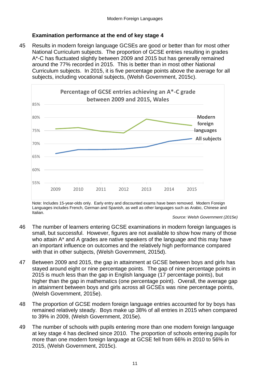## **Examination performance at the end of key stage 4**

45 Results in modern foreign language GCSEs are good or better than for most other National Curriculum subjects. The proportion of GCSE entries resulting in grades A\*-C has fluctuated slightly between 2009 and 2015 but has generally remained around the 77% recorded in 2015. This is better than in most other National Curriculum subjects. In 2015, it is five percentage points above the average for all subjects, including vocational subjects, (Welsh Government, 2015c).



Note: Includes 15-year-olds only. Early entry and discounted exams have been removed. Modern Foreign Languages includes French, German and Spanish, as well as other languages such as Arabic, Chinese and Italian.

- 46 The number of learners entering GCSE examinations in modern foreign languages is small, but successful. However, figures are not available to show how many of those who attain A\* and A grades are native speakers of the language and this may have an important influence on outcomes and the relatively high performance compared with that in other subjects, (Welsh Government, 2015d).
- 47 Between 2009 and 2015, the gap in attainment at GCSE between boys and girls has stayed around eight or nine percentage points. The gap of nine percentage points in 2015 is much less than the gap in English language (17 percentage points), but higher than the gap in mathematics (one percentage point). Overall, the average gap in attainment between boys and girls across all GCSEs was nine percentage points, (Welsh Government, 2015e).
- 48 The proportion of GCSE modern foreign language entries accounted for by boys has remained relatively steady. Boys make up 38% of all entries in 2015 when compared to 39% in 2009, (Welsh Government, 2015e).
- 49 The number of schools with pupils entering more than one modern foreign language at key stage 4 has declined since 2010. The proportion of schools entering pupils for more than one modern foreign language at GCSE fell from 66% in 2010 to 56% in 2015, (Welsh Government, 2015c).

*Source: Welsh Government (2015e)*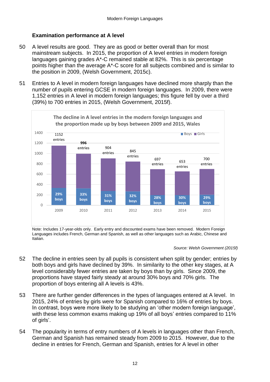## **Examination performance at A level**

- 50 A level results are good. They are as good or better overall than for most mainstream subjects. In 2015, the proportion of A level entries in modern foreign languages gaining grades A\*-C remained stable at 82%. This is six percentage points higher than the average A\*-C score for all subjects combined and is similar to the position in 2009, (Welsh Government, 2015c).
- 51 Entries to A level in modern foreign languages have declined more sharply than the number of pupils entering GCSE in modern foreign languages. In 2009, there were 1,152 entries in A level in modern foreign languages; this figure fell by over a third (39%) to 700 entries in 2015, (Welsh Government, 2015f).



Note: Includes 17-year-olds only. Early entry and discounted exams have been removed. Modern Foreign Languages includes French, German and Spanish, as well as other languages such as Arabic, Chinese and Italian.

*Source: Welsh Government (2015f)* 

- 52 The decline in entries seen by all pupils is consistent when split by gender; entries by both boys and girls have declined by 39%. In similarity to the other key stages, at A level considerably fewer entries are taken by boys than by girls. Since 2009, the proportions have stayed fairly steady at around 30% boys and 70% girls. The proportion of boys entering all A levels is 43%.
- 53 There are further gender differences in the types of languages entered at A level. In 2015, 24% of entries by girls were for Spanish compared to 16% of entries by boys. In contrast, boys were more likely to be studying an 'other modern foreign language', with these less common exams making up 19% of all boys' entries compared to 11% of girls'.
- 54 The popularity in terms of entry numbers of A levels in languages other than French, German and Spanish has remained steady from 2009 to 2015. However, due to the decline in entries for French, German and Spanish, entries for A level in other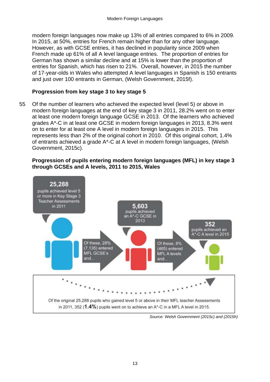modern foreign languages now make up 13% of all entries compared to 6% in 2009. In 2015, at 50%, entries for French remain higher than for any other language. However, as with GCSE entries, it has declined in popularity since 2009 when French made up 61% of all A level language entries. The proportion of entries for German has shown a similar decline and at 15% is lower than the proportion of entries for Spanish, which has risen to 21%. Overall, however, in 2015 the number of 17-year-olds in Wales who attempted A level languages in Spanish is 150 entrants and just over 100 entrants in German, (Welsh Government, 2015f).

#### **Progression from key stage 3 to key stage 5**

55 Of the number of learners who achieved the expected level (level 5) or above in modern foreign languages at the end of key stage 3 in 2011, 28.2% went on to enter at least one modern foreign language GCSE in 2013. Of the learners who achieved grades A\*-C in at least one GCSE in modern foreign languages in 2013, 8.3% went on to enter for at least one A level in modern foreign languages in 2015. This represents less than 2% of the original cohort in 2010. Of this original cohort, 1.4% of entrants achieved a grade A\*-C at A level in modern foreign languages, (Welsh Government, 2015c).

#### **Progression of pupils entering modern foreign languages (MFL) in key stage 3 through GCSEs and A levels, 2011 to 2015, Wales**



*Source: Welsh Government (2015c) and (2015h)*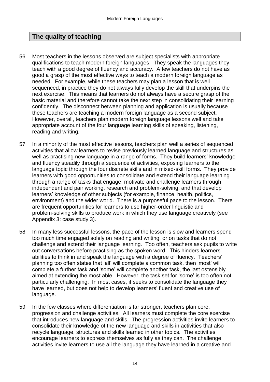## **The quality of teaching**

- 56 Most teachers in the lessons observed are subject specialists with appropriate qualifications to teach modern foreign languages. They speak the languages they teach with a good degree of fluency and accuracy. A few teachers do not have as good a grasp of the most effective ways to teach a modern foreign language as needed. For example, while these teachers may plan a lesson that is well sequenced, in practice they do not always fully develop the skill that underpins the next exercise. This means that learners do not always have a secure grasp of the basic material and therefore cannot take the next step in consolidating their learning confidently. The disconnect between planning and application is usually because these teachers are teaching a modern foreign language as a second subject. However, overall, teachers plan modern foreign language lessons well and take appropriate account of the four language learning skills of speaking, listening, reading and writing.
- 57 In a minority of the most effective lessons, teachers plan well a series of sequenced activities that allow learners to revise previously learned language and structures as well as practising new language in a range of forms. They build learners' knowledge and fluency steadily through a sequence of activities, exposing learners to the language topic through the four discrete skills and in mixed-skill forms. They provide learners with good opportunities to consolidate and extend their language learning through a range of tasks that engage, motivate and challenge learners through independent and pair working, research and problem-solving, and that develop learners' knowledge of other subjects (for example, finance, health, politics, environment) and the wider world. There is a purposeful pace to the lesson. There are frequent opportunities for learners to use higher-order linguistic and problem-solving skills to produce work in which they use language creatively (see Appendix 3: case study 3).
- 58 In many less successful lessons, the pace of the lesson is slow and learners spend too much time engaged solely on reading and writing, or on tasks that do not challenge and extend their language learning. Too often, teachers ask pupils to write out conversations before practising as the spoken word. This hinders learners' abilities to think in and speak the language with a degree of fluency. Teachers' planning too often states that 'all' will complete a common task, then 'most' will complete a further task and 'some' will complete another task, the last ostensibly aimed at extending the most able. However, the task set for 'some' is too often not particularly challenging. In most cases, it seeks to consolidate the language they have learned, but does not help to develop learners' fluent and creative use of language.
- 59 In the few classes where differentiation is far stronger, teachers plan core, progression and challenge activities. All learners must complete the core exercise that introduces new language and skills. The progression activities invite learners to consolidate their knowledge of the new language and skills in activities that also recycle language, structures and skills learned in other topics. The activities encourage learners to express themselves as fully as they can. The challenge activities invite learners to use all the language they have learned in a creative and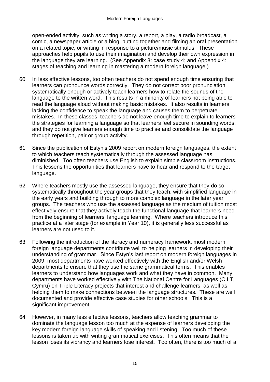open-ended activity, such as writing a story, a report, a play, a radio broadcast, a comic, a newspaper article or a blog, putting together and filming an oral presentation on a related topic, or writing in response to a picture/music stimulus. These approaches help pupils to use their imagination and develop their own expression in the language they are learning. (See Appendix 3: case study 4; and Appendix 4: stages of teaching and learning in mastering a modern foreign language.)

- 60 In less effective lessons, too often teachers do not spend enough time ensuring that learners can pronounce words correctly. They do not correct poor pronunciation systematically enough or actively teach learners how to relate the sounds of the language to the written word. This results in a minority of learners not being able to read the language aloud without making basic mistakes. It also results in learners lacking the confidence to speak the language and causes them to perpetuate mistakes. In these classes, teachers do not leave enough time to explain to learners the strategies for learning a language so that learners feel secure in sounding words, and they do not give learners enough time to practise and consolidate the language through repetition, pair or group activity.
- 61 Since the publication of Estyn's 2009 report on modern foreign languages, the extent to which teachers teach systematically through the assessed language has diminished. Too often teachers use English to explain simple classroom instructions. This lessens the opportunities that learners have to hear and respond to the target language.
- 62 Where teachers mostly use the assessed language, they ensure that they do so systematically throughout the year groups that they teach, with simplified language in the early years and building through to more complex language in the later year groups. The teachers who use the assessed language as the medium of tuition most effectively ensure that they actively teach the functional language that learners need from the beginning of learners' language learning. Where teachers introduce this practice at a later stage (for example in Year 10), it is generally less successful as learners are not used to it.
- 63 Following the introduction of the literacy and numeracy framework, most modern foreign language departments contribute well to helping learners in developing their understanding of grammar. Since Estyn's last report on modern foreign languages in 2009, most departments have worked effectively with the English and/or Welsh departments to ensure that they use the same grammatical terms. This enables learners to understand how languages work and what they have in common. Many departments have worked effectively with The National Centre for Languages (CILT, Cymru) on Triple Literacy projects that interest and challenge learners, as well as helping them to make connections between the language structures. These are well documented and provide effective case studies for other schools. This is a significant improvement.
- 64 However, in many less effective lessons, teachers allow teaching grammar to dominate the language lesson too much at the expense of learners developing the key modern foreign language skills of speaking and listening. Too much of these lessons is taken up with writing grammatical exercises. This often means that the lesson loses its vibrancy and learners lose interest. Too often, there is too much of a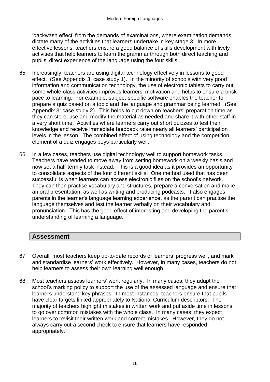'backwash effect' from the demands of examinations, where examination demands dictate many of the activities that learners undertake in key stage 3. In more effective lessons, teachers ensure a good balance of skills development with lively activities that help learners to learn the grammar through both direct teaching and pupils' direct experience of the language using the four skills.

- 65 Increasingly, teachers are using digital technology effectively in lessons to good effect. (See Appendix 3: case study 1). In the minority of schools with very good information and communication technology, the use of electronic tablets to carry out some whole-class activities improves learners' motivation and helps to ensure a brisk pace to learning. For example, subject-specific software enables the teacher to prepare a quiz based on a topic and the language and grammar being learned. (See Appendix 3: case study 2). This helps to cut down on teachers' preparation time as they can store, use and modify the material as needed and share it with other staff in a very short time. Activities where learners carry out short quizzes to test their knowledge and receive immediate feedback raise nearly all learners' participation levels in the lesson. The combined effect of using technology and the competition element of a quiz engages boys particularly well.
- 66 In a few cases, teachers use digital technology well to support homework tasks. Teachers have tended to move away from setting homework on a weekly basis and now set a half-termly task instead. This is a good idea as it provides an opportunity to consolidate aspects of the four different skills. One method used that has been successful is when learners can access electronic files on the school's network. They can then practise vocabulary and structures, prepare a conversation and make an oral presentation, as well as writing and producing podcasts. It also engages parents in the learner's language learning experience, as the parent can practise the language themselves and test the learner verbally on their vocabulary and pronunciation. This has the good effect of interesting and developing the parent's understanding of learning a language.

## **Assessment**

- 67 Overall, most teachers keep up-to-date records of learners' progress well, and mark and standardise learners' work effectively. However, in many cases, teachers do not help learners to assess their own learning well enough.
- 68 Most teachers assess learners' work regularly. In many cases, they adapt the school's marking policy to support the use of the assessed language and ensure that learners understand key phrases. In most instances, teachers ensure that pupils have clear targets linked appropriately to National Curriculum descriptors. The majority of teachers highlight mistakes in written work and put aside time in lessons to go over common mistakes with the whole class. In many cases, they expect learners to revisit their written work and correct mistakes. However, they do not always carry out a second check to ensure that learners have responded appropriately.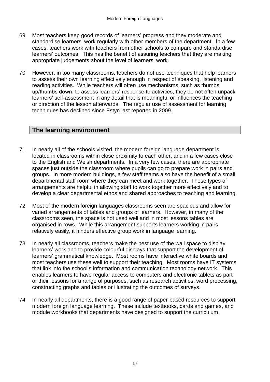- 69 Most teachers keep good records of learners' progress and they moderate and standardise learners' work regularly with other members of the department. In a few cases, teachers work with teachers from other schools to compare and standardise learners' outcomes. This has the benefit of assuring teachers that they are making appropriate judgements about the level of learners' work.
- 70 However, in too many classrooms, teachers do not use techniques that help learners to assess their own learning effectively enough in respect of speaking, listening and reading activities. While teachers will often use mechanisms, such as thumbs up/thumbs down, to assess learners' response to activities, they do not often unpack learners' self-assessment in any detail that is meaningful or influences the teaching or direction of the lesson afterwards. The regular use of assessment for learning techniques has declined since Estyn last reported in 2009.

## **The learning environment**

- 71 In nearly all of the schools visited, the modern foreign language department is located in classrooms within close proximity to each other, and in a few cases close to the English and Welsh departments. In a very few cases, there are appropriate spaces just outside the classroom where pupils can go to prepare work in pairs and groups. In more modern buildings, a few staff teams also have the benefit of a small departmental staff room where they can meet and work together. These types of arrangements are helpful in allowing staff to work together more effectively and to develop a clear departmental ethos and shared approaches to teaching and learning.
- 72 Most of the modern foreign languages classrooms seen are spacious and allow for varied arrangements of tables and groups of learners. However, in many of the classrooms seen, the space is not used well and in most lessons tables are organised in rows. While this arrangement supports learners working in pairs relatively easily, it hinders effective group work in language learning.
- 73 In nearly all classrooms, teachers make the best use of the wall space to display learners' work and to provide colourful displays that support the development of learners' grammatical knowledge. Most rooms have interactive white boards and most teachers use these well to support their teaching. Most rooms have IT systems that link into the school's information and communication technology network. This enables learners to have regular access to computers and electronic tablets as part of their lessons for a range of purposes, such as research activities, word processing, constructing graphs and tables or illustrating the outcomes of surveys.
- 74 In nearly all departments, there is a good range of paper-based resources to support modern foreign language learning. These include textbooks, cards and games, and module workbooks that departments have designed to support the curriculum.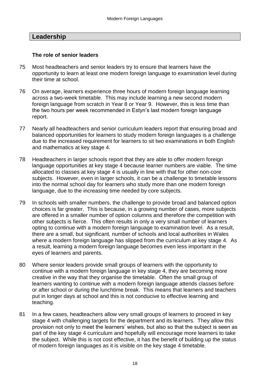## **Leadership**

#### **The role of senior leaders**

- 75 Most headteachers and senior leaders try to ensure that learners have the opportunity to learn at least one modern foreign language to examination level during their time at school.
- 76 On average, learners experience three hours of modern foreign language learning across a two-week timetable. This may include learning a new second modern foreign language from scratch in Year 8 or Year 9. However, this is less time than the two hours per week recommended in Estyn's last modern foreign language report.
- 77 Nearly all headteachers and senior curriculum leaders report that ensuring broad and balanced opportunities for learners to study modern foreign languages is a challenge due to the increased requirement for learners to sit two examinations in both English and mathematics at key stage 4.
- 78 Headteachers in larger schools report that they are able to offer modern foreign language opportunities at key stage 4 because learner numbers are viable. The time allocated to classes at key stage 4 is usually in line with that for other non-core subjects. However, even in larger schools, it can be a challenge to timetable lessons into the normal school day for learners who study more than one modern foreign language, due to the increasing time needed by core subjects.
- 79 In schools with smaller numbers, the challenge to provide broad and balanced option choices is far greater. This is because, in a growing number of cases, more subjects are offered in a smaller number of option columns and therefore the competition with other subjects is fierce. This often results in only a very small number of learners opting to continue with a modern foreign language to examination level. As a result, there are a small, but significant, number of schools and local authorities in Wales where a modern foreign language has slipped from the curriculum at key stage 4. As a result, learning a modern foreign language becomes even less important in the eyes of learners and parents.
- 80 Where senior leaders provide small groups of learners with the opportunity to continue with a modern foreign language in key stage 4, they are becoming more creative in the way that they organise the timetable. Often the small group of learners wanting to continue with a modern foreign language attends classes before or after school or during the lunchtime break. This means that learners and teachers put in longer days at school and this is not conducive to effective learning and teaching.
- 81 In a few cases, headteachers allow very small groups of learners to proceed in key stage 4 with challenging targets for the department and its learners. They allow this provision not only to meet the learners' wishes, but also so that the subject is seen as part of the key stage 4 curriculum and hopefully will encourage more learners to take the subject. While this is not cost effective, it has the benefit of building up the status of modern foreign languages as it is visible on the key stage 4 timetable.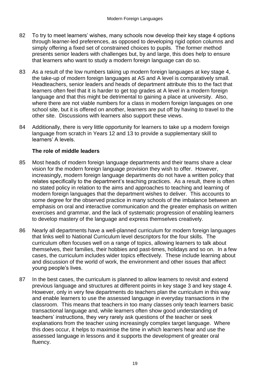- 82 To try to meet learners' wishes, many schools now develop their key stage 4 options through learner-led preferences, as opposed to developing rigid option columns and simply offering a fixed set of constrained choices to pupils. The former method presents senior leaders with challenges but, by and large, this does help to ensure that learners who want to study a modern foreign language can do so.
- 83 As a result of the low numbers taking up modern foreign languages at key stage 4, the take-up of modern foreign languages at AS and A level is comparatively small. Headteachers, senior leaders and heads of department attribute this to the fact that learners often feel that it is harder to get top grades at A level in a modern foreign language and that this might be detrimental to gaining a place at university. Also, where there are not viable numbers for a class in modern foreign languages on one school site, but it is offered on another, learners are put off by having to travel to the other site. Discussions with learners also support these views.
- 84 Additionally, there is very little opportunity for learners to take up a modern foreign language from scratch in Years 12 and 13 to provide a supplementary skill to learners' A levels.

### **The role of middle leaders**

- 85 Most heads of modern foreign language departments and their teams share a clear vision for the modern foreign language provision they wish to offer. However, increasingly, modern foreign language departments do not have a written policy that relates specifically to the department's teaching practices. As a result, there is often no stated policy in relation to the aims and approaches to teaching and learning of modern foreign languages that the department wishes to deliver. This accounts to some degree for the observed practice in many schools of the imbalance between an emphasis on oral and interactive communication and the greater emphasis on written exercises and grammar, and the lack of systematic progression of enabling learners to develop mastery of the language and express themselves creatively.
- 86 Nearly all departments have a well-planned curriculum for modern foreign languages that links well to National Curriculum level descriptors for the four skills. The curriculum often focuses well on a range of topics, allowing learners to talk about themselves, their families, their hobbies and past-times, holidays and so on. In a few cases, the curriculum includes wider topics effectively. These include learning about and discussion of the world of work, the environment and other issues that affect young people's lives.
- 87 In the best cases, the curriculum is planned to allow learners to revisit and extend previous language and structures at different points in key stage 3 and key stage 4. However, only in very few departments do teachers plan the curriculum in this way and enable learners to use the assessed language in everyday transactions in the classroom. This means that teachers in too many classes only teach learners basic transactional language and, while learners often show good understanding of teachers' instructions, they very rarely ask questions of the teacher or seek explanations from the teacher using increasingly complex target language. Where this does occur, it helps to maximise the time in which learners hear and use the assessed language in lessons and it supports the development of greater oral fluency.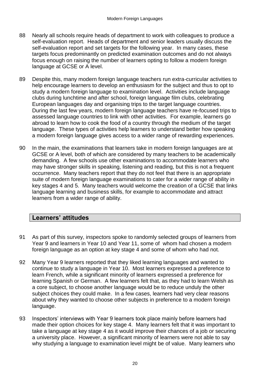- 88 Nearly all schools require heads of department to work with colleagues to produce a self-evaluation report. Heads of department and senior leaders usually discuss the self-evaluation report and set targets for the following year. In many cases, these targets focus predominantly on predicted examination outcomes and do not always focus enough on raising the number of learners opting to follow a modern foreign language at GCSE or A level.
- 89 Despite this, many modern foreign language teachers run extra-curricular activities to help encourage learners to develop an enthusiasm for the subject and thus to opt to study a modern foreign language to examination level. Activities include language clubs during lunchtime and after school, foreign language film clubs, celebrating European languages day and organising trips to the target language countries. During the last few years, modern foreign language teachers have re-focused trips to assessed language countries to link with other activities. For example, learners go abroad to learn how to cook the food of a country through the medium of the target language. These types of activities help learners to understand better how speaking a modern foreign language gives access to a wider range of rewarding experiences.
- 90 In the main, the examinations that learners take in modern foreign languages are at GCSE or A level, both of which are considered by many teachers to be academically demanding. A few schools use other examinations to accommodate learners who may have stronger skills in speaking, listening and reading, but this is not a frequent occurrence. Many teachers report that they do not feel that there is an appropriate suite of modern foreign language examinations to cater for a wider range of ability in key stages 4 and 5. Many teachers would welcome the creation of a GCSE that links language learning and business skills, for example to accommodate and attract learners from a wider range of ability.

## **Learners' attitudes**

- 91 As part of this survey, inspectors spoke to randomly selected groups of learners from Year 9 and learners in Year 10 and Year 11, some of whom had chosen a modern foreign language as an option at key stage 4 and some of whom who had not.
- 92 Many Year 9 learners reported that they liked learning languages and wanted to continue to study a language in Year 10. Most learners expressed a preference to learn French, while a significant minority of learners expressed a preference for learning Spanish or German. A few learners felt that, as they had to learn Welsh as a core subject, to choose another language would be to reduce unduly the other subject choices they could make. In a few cases, learners had very clear reasons about why they wanted to choose other subjects in preference to a modern foreign language.
- 93 Inspectors' interviews with Year 9 learners took place mainly before learners had made their option choices for key stage 4. Many learners felt that it was important to take a language at key stage 4 as it would improve their chances of a job or securing a university place. However, a significant minority of learners were not able to say why studying a language to examination level might be of value. Many learners who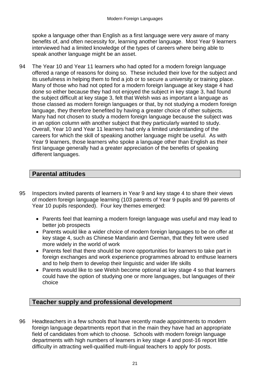spoke a language other than English as a first language were very aware of many benefits of, and often necessity for, learning another language. Most Year 9 learners interviewed had a limited knowledge of the types of careers where being able to speak another language might be an asset.

94 The Year 10 and Year 11 learners who had opted for a modern foreign language offered a range of reasons for doing so. These included their love for the subject and its usefulness in helping them to find a job or to secure a university or training place. Many of those who had not opted for a modern foreign language at key stage 4 had done so either because they had not enjoyed the subject in key stage 3, had found the subject difficult at key stage 3, felt that Welsh was as important a language as those classed as modern foreign languages or that, by not studying a modern foreign language, they therefore benefited by having a greater choice of other subjects. Many had not chosen to study a modern foreign language because the subject was in an option column with another subject that they particularly wanted to study. Overall, Year 10 and Year 11 learners had only a limited understanding of the careers for which the skill of speaking another language might be useful. As with Year 9 learners, those learners who spoke a language other than English as their first language generally had a greater appreciation of the benefits of speaking different languages.

## **Parental attitudes**

- 95 Inspectors invited parents of learners in Year 9 and key stage 4 to share their views of modern foreign language learning (103 parents of Year 9 pupils and 99 parents of Year 10 pupils responded). Four key themes emerged:
	- Parents feel that learning a modern foreign language was useful and may lead to better job prospects
	- Parents would like a wider choice of modern foreign languages to be on offer at key stage 4, such as Chinese Mandarin and German, that they felt were used more widely in the world of work
	- Parents feel that there should be more opportunities for learners to take part in foreign exchanges and work experience programmes abroad to enthuse learners and to help them to develop their linguistic and wider life skills
	- Parents would like to see Welsh become optional at key stage 4 so that learners could have the option of studying one or more languages, but languages of their choice

## **Teacher supply and professional development**

96 Headteachers in a few schools that have recently made appointments to modern foreign language departments report that in the main they have had an appropriate field of candidates from which to choose. Schools with modern foreign language departments with high numbers of learners in key stage 4 and post-16 report little difficulty in attracting well-qualified multi-lingual teachers to apply for posts.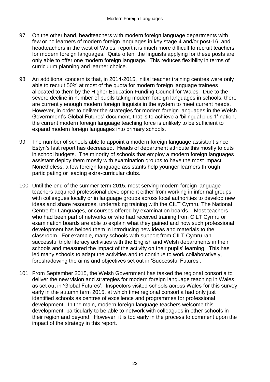- 97 On the other hand, headteachers with modern foreign language departments with few or no learners of modern foreign languages in key stage 4 and/or post-16, and headteachers in the west of Wales, report it is much more difficult to recruit teachers for modern foreign languages. Quite often, the linguists applying for these posts are only able to offer one modern foreign language. This reduces flexibility in terms of curriculum planning and learner choice.
- 98 An additional concern is that, in 2014-2015, initial teacher training centres were only able to recruit 50% at most of the quota for modern foreign language trainees allocated to them by the Higher Education Funding Council for Wales. Due to the severe decline in number of pupils taking modern foreign languages in schools, there are currently enough modern foreign linguists in the system to meet current needs. However, in order to deliver the strategies for modern foreign languages in the Welsh Government's Global Futures' document, that is to achieve a 'bilingual plus 1' nation, the current modern foreign language teaching force is unlikely to be sufficient to expand modern foreign languages into primary schools.
- 99 The number of schools able to appoint a modern foreign language assistant since Estyn's last report has decreased. Heads of department attribute this mostly to cuts in school budgets. The minority of schools that employ a modern foreign languages assistant deploy them mostly with examination groups to have the most impact. Nonetheless, a few foreign language assistants help younger learners through participating or leading extra-curricular clubs.
- 100 Until the end of the summer term 2015, most serving modern foreign language teachers acquired professional development either from working in informal groups with colleagues locally or in language groups across local authorities to develop new ideas and share resources, undertaking training with the CILT Cymru, The National Centre for Languages, or courses offered by examination boards. Most teachers who had been part of networks or who had received training from CILT Cymru or examination boards are able to explain what they gained and how such professional development has helped them in introducing new ideas and materials to the classroom. For example, many schools with support from CILT Cymru ran successful triple literacy activities with the English and Welsh departments in their schools and measured the impact of the activity on their pupils' learning. This has led many schools to adapt the activities and to continue to work collaboratively, foreshadowing the aims and objectives set out in 'Successful Futures'.
- 101 From September 2015, the Welsh Government has tasked the regional consortia to deliver the new vision and strategies for modern foreign language teaching in Wales as set out in 'Global Futures'. Inspectors visited schools across Wales for this survey early in the autumn term 2015, at which time regional consortia had only just identified schools as centres of excellence and programmes for professional development. In the main, modern foreign language teachers welcome this development, particularly to be able to network with colleagues in other schools in their region and beyond. However, it is too early in the process to comment upon the impact of the strategy in this report.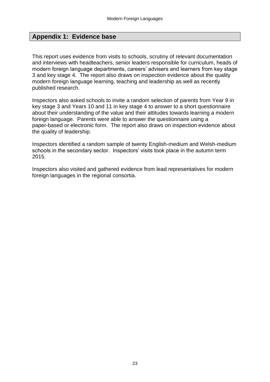## **Appendix 1: Evidence base**

This report uses evidence from visits to schools, scrutiny of relevant documentation and interviews with headteachers, senior leaders responsible for curriculum, heads of modern foreign language departments, careers' advisers and learners from key stage 3 and key stage 4. The report also draws on inspection evidence about the quality modern foreign language learning, teaching and leadership as well as recently published research.

Inspectors also asked schools to invite a random selection of parents from Year 9 in key stage 3 and Years 10 and 11 in key stage 4 to answer to a short questionnaire about their understanding of the value and their attitudes towards learning a modern foreign language. Parents were able to answer the questionnaire using a paper-based or electronic form. The report also draws on inspection evidence about the quality of leadership.

Inspectors identified a random sample of twenty English-medium and Welsh-medium schools in the secondary sector. Inspectors' visits took place in the autumn term 2015.

Inspectors also visited and gathered evidence from lead representatives for modern foreign languages in the regional consortia.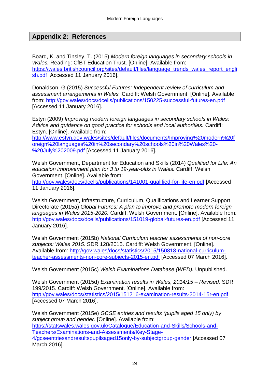## **Appendix 2: References**

Board, K. and Tinsley, T. (2015) *Modern foreign languages in secondary schools in Wales.* Reading: CfBT Education Trust. [Online]. Available from: [https://wales.britishcouncil.org/sites/default/files/language\\_trends\\_wales\\_report\\_engli](https://wales.britishcouncil.org/sites/default/files/language_trends_wales_report_english.pdf) [sh.pdf](https://wales.britishcouncil.org/sites/default/files/language_trends_wales_report_english.pdf) [Accessed 11 January 2016].

Donaldson, G (2015) *Successful Futures: Independent review of curriculum and assessment arrangements in Wales.* Cardiff: Welsh Government. [Online]. Available from:<http://gov.wales/docs/dcells/publications/150225-successful-futures-en.pdf> [Accessed 11 January 2016].

Estyn (2009) *Improving modern foreign languages in secondary schools in Wales: Advice and guidance on good practice for schools and local authorities.* Cardiff: Estyn. [Online]. Available from:

[http://www.estyn.gov.wales/sites/default/files/documents/Improving%20modern%20f](http://www.estyn.gov.wales/sites/default/files/documents/Improving%20modern%20foreign%20languages%20in%20secondary%20schools%20in%20Wales%20-%20July%202009.pdf) [oreign%20languages%20in%20secondary%20schools%20in%20Wales%20-](http://www.estyn.gov.wales/sites/default/files/documents/Improving%20modern%20foreign%20languages%20in%20secondary%20schools%20in%20Wales%20-%20July%202009.pdf) [%20July%202009.pdf](http://www.estyn.gov.wales/sites/default/files/documents/Improving%20modern%20foreign%20languages%20in%20secondary%20schools%20in%20Wales%20-%20July%202009.pdf) [Accessed 11 January 2016].

Welsh Government, Department for Education and Skills (2014) *Qualified for Life: An education improvement plan for 3 to 19-year-olds in Wales.* Cardiff: Welsh Government. [Online]. Available from:

<http://gov.wales/docs/dcells/publications/141001-qualified-for-life-en.pdf> [Accessed 11 January 2016].

Welsh Government, Infrastructure, Curriculum, Qualifications and Learner Support Directorate (2015a) *Global Futures: A plan to improve and promote modern foreign languages in Wales 2015-2020.* Cardiff: Welsh Government. [Online]. Available from: <http://gov.wales/docs/dcells/publications/151019-global-futures-en.pdf> [Accessed 11 January 2016].

Welsh Government (2015b) *National Curriculum teacher assessments of non-core subjects: Wales 2015.* SDR 128/2015. Cardiff: Welsh Government. [Online]. Available from: [http://gov.wales/docs/statistics/2015/150818-national-curriculum](http://gov.wales/docs/statistics/2015/150818-national-curriculum-teacher-assessments-non-core-subjects-2015-en.pdf)[teacher-assessments-non-core-subjects-2015-en.pdf](http://gov.wales/docs/statistics/2015/150818-national-curriculum-teacher-assessments-non-core-subjects-2015-en.pdf) [Accessed 07 March 2016].

Welsh Government (2015c) *Welsh Examinations Database (WED).* Unpublished.

Welsh Government (2015d) *Examination results in Wales, 2014/15 – Revised.* SDR 199/2015. Cardiff: Welsh Government. [Online]. Available from: <http://gov.wales/docs/statistics/2015/151216-examination-results-2014-15r-en.pdf> [Accessed 07 March 2016].

Welsh Government (2015e) *GCSE entries and results (pupils aged 15 only) by subject group and gender.* [Online]. Available from: [https://statswales.wales.gov.uk/Catalogue/Education-and-Skills/Schools-and-](https://statswales.wales.gov.uk/Catalogue/Education-and-Skills/Schools-and-Teachers/Examinations-and-Assessments/Key-Stage-4/gcseentriesandresultspupilsaged15only-by-subjectgroup-gender)[Teachers/Examinations-and-Assessments/Key-Stage-](https://statswales.wales.gov.uk/Catalogue/Education-and-Skills/Schools-and-Teachers/Examinations-and-Assessments/Key-Stage-4/gcseentriesandresultspupilsaged15only-by-subjectgroup-gender)[4/gcseentriesandresultspupilsaged15only-by-subjectgroup-gender](https://statswales.wales.gov.uk/Catalogue/Education-and-Skills/Schools-and-Teachers/Examinations-and-Assessments/Key-Stage-4/gcseentriesandresultspupilsaged15only-by-subjectgroup-gender) [Accessed 07 March 2016].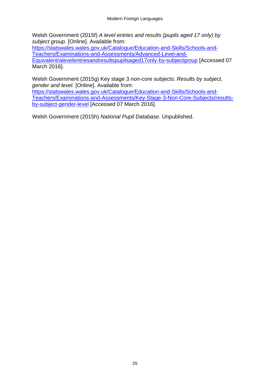Welsh Government (2015f) *A level entries and results (pupils aged 17 only) by subject group.* [Online]. Available from:

[https://statswales.wales.gov.uk/Catalogue/Education-and-Skills/Schools-and-](https://statswales.wales.gov.uk/Catalogue/Education-and-Skills/Schools-and-Teachers/Examinations-and-Assessments/Advanced-Level-and-Equivalent/alevelentriesandresultspupilsaged17only-by-subjectgroup)[Teachers/Examinations-and-Assessments/Advanced-Level-and-](https://statswales.wales.gov.uk/Catalogue/Education-and-Skills/Schools-and-Teachers/Examinations-and-Assessments/Advanced-Level-and-Equivalent/alevelentriesandresultspupilsaged17only-by-subjectgroup)[Equivalent/alevelentriesandresultspupilsaged17only-by-subjectgroup](https://statswales.wales.gov.uk/Catalogue/Education-and-Skills/Schools-and-Teachers/Examinations-and-Assessments/Advanced-Level-and-Equivalent/alevelentriesandresultspupilsaged17only-by-subjectgroup) [Accessed 07 March 2016].

Welsh Government (2015g) Key stage 3 non-core subjects: *Results by subject, gender and level.* [Online]. Available from:

[https://statswales.wales.gov.uk/Catalogue/Education-and-Skills/Schools-and-](https://statswales.wales.gov.uk/Catalogue/Education-and-Skills/Schools-and-Teachers/Examinations-and-Assessments/Key-Stage-3-Non-Core-Subjects/results-by-subject-gender-level)[Teachers/Examinations-and-Assessments/Key-Stage-3-Non-Core-Subjects/results](https://statswales.wales.gov.uk/Catalogue/Education-and-Skills/Schools-and-Teachers/Examinations-and-Assessments/Key-Stage-3-Non-Core-Subjects/results-by-subject-gender-level)[by-subject-gender-level](https://statswales.wales.gov.uk/Catalogue/Education-and-Skills/Schools-and-Teachers/Examinations-and-Assessments/Key-Stage-3-Non-Core-Subjects/results-by-subject-gender-level) [Accessed 07 March 2016].

Welsh Government (2015h) *National Pupil Database.* Unpublished.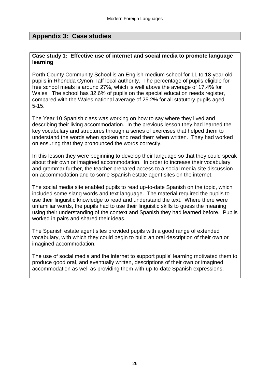## **Appendix 3: Case studies**

#### **Case study 1: Effective use of internet and social media to promote language learning**

Porth County Community School is an English-medium school for 11 to 18-year-old pupils in Rhondda Cynon Taff local authority. The percentage of pupils eligible for free school meals is around 27%, which is well above the average of 17.4% for Wales. The school has 32.6% of pupils on the special education needs register, compared with the Wales national average of 25.2% for all statutory pupils aged 5-15.

The Year 10 Spanish class was working on how to say where they lived and describing their living accommodation. In the previous lesson they had learned the key vocabulary and structures through a series of exercises that helped them to understand the words when spoken and read them when written. They had worked on ensuring that they pronounced the words correctly.

In this lesson they were beginning to develop their language so that they could speak about their own or imagined accommodation. In order to increase their vocabulary and grammar further, the teacher prepared access to a social media site discussion on accommodation and to some Spanish estate agent sites on the internet.

The social media site enabled pupils to read up-to-date Spanish on the topic, which included some slang words and text language. The material required the pupils to use their linguistic knowledge to read and understand the text. Where there were unfamiliar words, the pupils had to use their linguistic skills to guess the meaning using their understanding of the context and Spanish they had learned before. Pupils worked in pairs and shared their ideas.

The Spanish estate agent sites provided pupils with a good range of extended vocabulary, with which they could begin to build an oral description of their own or imagined accommodation.

The use of social media and the internet to support pupils' learning motivated them to produce good oral, and eventually written, descriptions of their own or imagined accommodation as well as providing them with up-to-date Spanish expressions.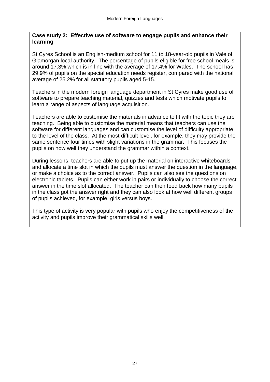#### **Case study 2: Effective use of software to engage pupils and enhance their learning**

St Cyres School is an English-medium school for 11 to 18-year-old pupils in Vale of Glamorgan local authority. The percentage of pupils eligible for free school meals is around 17.3% which is in line with the average of 17.4% for Wales. The school has 29.9% of pupils on the special education needs register, compared with the national average of 25.2% for all statutory pupils aged 5-15.

Teachers in the modern foreign language department in St Cyres make good use of software to prepare teaching material, quizzes and tests which motivate pupils to learn a range of aspects of language acquisition.

Teachers are able to customise the materials in advance to fit with the topic they are teaching. Being able to customise the material means that teachers can use the software for different languages and can customise the level of difficulty appropriate to the level of the class. At the most difficult level, for example, they may provide the same sentence four times with slight variations in the grammar. This focuses the pupils on how well they understand the grammar within a context.

During lessons, teachers are able to put up the material on interactive whiteboards and allocate a time slot in which the pupils must answer the question in the language, or make a choice as to the correct answer. Pupils can also see the questions on electronic tablets. Pupils can either work in pairs or individually to choose the correct answer in the time slot allocated. The teacher can then feed back how many pupils in the class got the answer right and they can also look at how well different groups of pupils achieved, for example, girls versus boys.

This type of activity is very popular with pupils who enjoy the competitiveness of the activity and pupils improve their grammatical skills well.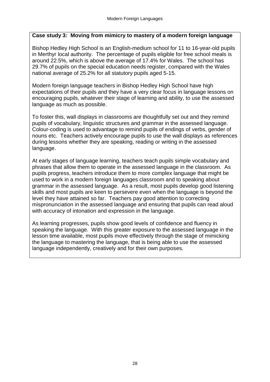## **Case study 3: Moving from mimicry to mastery of a modern foreign language**

Bishop Hedley High School is an English-medium school for 11 to 16-year-old pupils in Merthyr local authority. The percentage of pupils eligible for free school meals is around 22.5%, which is above the average of 17.4% for Wales. The school has 29.7% of pupils on the special education needs register, compared with the Wales national average of 25.2% for all statutory pupils aged 5-15.

Modern foreign language teachers in Bishop Hedley High School have high expectations of their pupils and they have a very clear focus in language lessons on encouraging pupils, whatever their stage of learning and ability, to use the assessed language as much as possible.

To foster this, wall displays in classrooms are thoughtfully set out and they remind pupils of vocabulary, linguistic structures and grammar in the assessed language. Colour-coding is used to advantage to remind pupils of endings of verbs, gender of nouns etc. Teachers actively encourage pupils to use the wall displays as references during lessons whether they are speaking, reading or writing in the assessed language.

At early stages of language learning, teachers teach pupils simple vocabulary and phrases that allow them to operate in the assessed language in the classroom. As pupils progress, teachers introduce them to more complex language that might be used to work in a modern foreign languages classroom and to speaking about grammar in the assessed language. As a result, most pupils develop good listening skills and most pupils are keen to persevere even when the language is beyond the level they have attained so far. Teachers pay good attention to correcting mispronunciation in the assessed language and ensuring that pupils can read aloud with accuracy of intonation and expression in the language.

As learning progresses, pupils show good levels of confidence and fluency in speaking the language. With this greater exposure to the assessed language in the lesson time available, most pupils move effectively through the stage of mimicking the language to mastering the language, that is being able to use the assessed language independently, creatively and for their own purposes.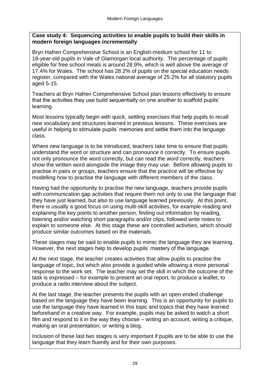### **Case study 4: Sequencing activities to enable pupils to build their skills in modern foreign languages incrementally**

Bryn Hafren Comprehensive School is an English-medium school for 11 to 18-year-old pupils in Vale of Glamorgan local authority. The percentage of pupils eligible for free school meals is around 28.9%, which is well above the average of 17.4% for Wales. The school has 28.2% of pupils on the special education needs register, compared with the Wales national average of 25.2% for all statutory pupils aged 5-15.

Teachers at Bryn Hafren Comprehensive School plan lessons effectively to ensure that the activities they use build sequentially on one another to scaffold pupils' learning.

Most lessons typically begin with quick, settling exercises that help pupils to recall new vocabulary and structures learned in previous lessons. These exercises are useful in helping to stimulate pupils' memories and settle them into the language class.

Where new language is to be introduced, teachers take time to ensure that pupils understand the word or structure and can pronounce it correctly. To ensure pupils not only pronounce the word correctly, but can read the word correctly, teachers show the written word alongside the image they may use. Before allowing pupils to practise in pairs or groups, teachers ensure that the practice will be effective by modelling how to practise the language with different members of the class.

Having had the opportunity to practise the new language, teachers provide pupils with communication gap activities that require them not only to use the language that they have just learned, but also to use language learned previously. At this point, there is usually a good focus on using multi-skill activities, for example reading and explaining the key points to another person, finding out information by reading, listening and/or watching short paragraphs and/or clips, followed write notes to explain to someone else. At this stage these are controlled activities, which should produce similar outcomes based on the materials.

These stages may be said to enable pupils to mimic the language they are learning. However, the next stages help to develop pupils' mastery of the language.

At the next stage, the teacher creates activities that allow pupils to practise the language of topic, but which also provide a guided while allowing a more personal response to the work set. The teacher may set the skill in which the outcome of the task is expressed – for example to present an oral report, to produce a leaflet, to produce a radio interview about the subject.

At the last stage, the teacher presents the pupils with an open-ended challenge based on the language they have been learning. This is an opportunity for pupils to use the language they have learned in this topic and topics that they have learned beforehand in a creative way. For example, pupils may be asked to watch a short film and respond to it in the way they choose – writing an account, writing a critique, making an oral presentation, or writing a blog.

Inclusion of these last two stages is very important if pupils are to be able to use the language that they learn fluently and for their own purposes.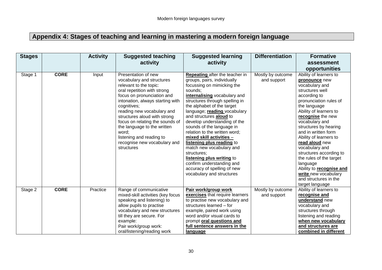## **Appendix 4: Stages of teaching and learning in mastering a modern foreign language**

| <b>Stages</b> |             | <b>Activity</b> | <b>Suggested teaching</b>                                                                                                                                                                                                                                                                                                                                                                                     | <b>Suggested learning</b>                                                                                                                                                                                                                                                                                                                                                                                                                                                                                                                                                                 | <b>Differentiation</b>           | <b>Formative</b>                                                                                                                                                                                                                                                                                                                                                                                                                                                     |
|---------------|-------------|-----------------|---------------------------------------------------------------------------------------------------------------------------------------------------------------------------------------------------------------------------------------------------------------------------------------------------------------------------------------------------------------------------------------------------------------|-------------------------------------------------------------------------------------------------------------------------------------------------------------------------------------------------------------------------------------------------------------------------------------------------------------------------------------------------------------------------------------------------------------------------------------------------------------------------------------------------------------------------------------------------------------------------------------------|----------------------------------|----------------------------------------------------------------------------------------------------------------------------------------------------------------------------------------------------------------------------------------------------------------------------------------------------------------------------------------------------------------------------------------------------------------------------------------------------------------------|
|               |             |                 | activity                                                                                                                                                                                                                                                                                                                                                                                                      | activity                                                                                                                                                                                                                                                                                                                                                                                                                                                                                                                                                                                  |                                  | assessment                                                                                                                                                                                                                                                                                                                                                                                                                                                           |
|               |             |                 |                                                                                                                                                                                                                                                                                                                                                                                                               |                                                                                                                                                                                                                                                                                                                                                                                                                                                                                                                                                                                           |                                  | opportunities                                                                                                                                                                                                                                                                                                                                                                                                                                                        |
| Stage 1       | <b>CORE</b> | Input           | Presentation of new<br>vocabulary and structures<br>relevant to the topic:<br>oral repetition with strong<br>focus on pronunciation and<br>intonation, always starting with<br>cognitives;<br>reading new vocabulary and<br>structures aloud with strong<br>focus on relating the sounds of<br>the language to the written<br>word;<br>listening and reading to<br>recognise new vocabulary and<br>structures | Repeating after the teacher in<br>groups, pairs, individually<br>focussing on mimicking the<br>sounds;<br>internalising vocabulary and<br>structures through spelling in<br>the alphabet of the target<br>language; reading vocabulary<br>and structures aloud to<br>develop understanding of the<br>sounds of the language in<br>relation to the written word;<br>mixed skill activities -<br>listening plus reading to<br>match new vocabulary and<br>structures;<br>listening plus writing to<br>confirm understanding and<br>accuracy of spelling of new<br>vocabulary and structures | Mostly by outcome<br>and support | Ability of learners to<br>pronounce new<br>vocabulary and<br>structures well<br>according to<br>pronunciation rules of<br>the language<br>Ability of learners to<br>recognise the new<br>vocabulary and<br>structures by hearing<br>and in written form<br>Ability of learners to<br>read aloud new<br>vocabulary and<br>structures according to<br>the rules of the target<br>language<br>Ability to recognise and<br>write new vocabulary<br>and structures in the |
| Stage 2       | <b>CORE</b> | Practice        | Range of communicative                                                                                                                                                                                                                                                                                                                                                                                        | Pair work/group work                                                                                                                                                                                                                                                                                                                                                                                                                                                                                                                                                                      | Mostly by outcome                | target language<br>Ability of learners to                                                                                                                                                                                                                                                                                                                                                                                                                            |
|               |             |                 | mixed-skill activities (key focus                                                                                                                                                                                                                                                                                                                                                                             | exercises that require learners                                                                                                                                                                                                                                                                                                                                                                                                                                                                                                                                                           | and support                      | recognise and                                                                                                                                                                                                                                                                                                                                                                                                                                                        |
|               |             |                 | speaking and listening) to                                                                                                                                                                                                                                                                                                                                                                                    | to practise new vocabulary and                                                                                                                                                                                                                                                                                                                                                                                                                                                                                                                                                            |                                  | understand new                                                                                                                                                                                                                                                                                                                                                                                                                                                       |
|               |             |                 | allow pupils to practise                                                                                                                                                                                                                                                                                                                                                                                      | structures learned - for                                                                                                                                                                                                                                                                                                                                                                                                                                                                                                                                                                  |                                  | vocabulary and                                                                                                                                                                                                                                                                                                                                                                                                                                                       |
|               |             |                 | vocabulary and new structures                                                                                                                                                                                                                                                                                                                                                                                 | example, paired work using                                                                                                                                                                                                                                                                                                                                                                                                                                                                                                                                                                |                                  | structures through                                                                                                                                                                                                                                                                                                                                                                                                                                                   |
|               |             |                 | till they are secure. For                                                                                                                                                                                                                                                                                                                                                                                     | word and/or visual cards to                                                                                                                                                                                                                                                                                                                                                                                                                                                                                                                                                               |                                  | listening and reading                                                                                                                                                                                                                                                                                                                                                                                                                                                |
|               |             |                 | example:                                                                                                                                                                                                                                                                                                                                                                                                      | prompt oral questions and                                                                                                                                                                                                                                                                                                                                                                                                                                                                                                                                                                 |                                  | when new vocabulary                                                                                                                                                                                                                                                                                                                                                                                                                                                  |
|               |             |                 | Pair work/group work:                                                                                                                                                                                                                                                                                                                                                                                         | full sentence answers in the                                                                                                                                                                                                                                                                                                                                                                                                                                                                                                                                                              |                                  | and structures are                                                                                                                                                                                                                                                                                                                                                                                                                                                   |
|               |             |                 | oral/listening/reading work                                                                                                                                                                                                                                                                                                                                                                                   | <u>language</u>                                                                                                                                                                                                                                                                                                                                                                                                                                                                                                                                                                           |                                  | combined in different                                                                                                                                                                                                                                                                                                                                                                                                                                                |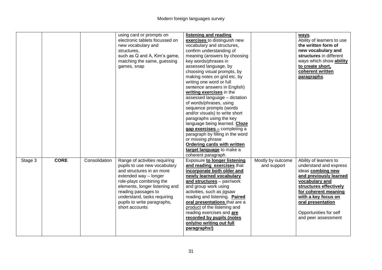|         |             |               | using card or prompts on<br>electronic tablets focussed on<br>new vocabulary and<br>structures,<br>such as Q and A, Kim's game,<br>matching the same, guessing<br>games, snap                                                                                                            | listening and reading<br>exercises to distinguish new<br>vocabulary and structures,<br>confirm understanding of<br>meaning (answers by choosing<br>key words/phrases in<br>assessed language, by<br>choosing visual prompts, by<br>making notes on grid etc, by<br>writing one word or full<br>sentence answers in English)<br>writing exercises in the<br>assessed language - dictation<br>of words/phrases, using<br>sequence prompts (words<br>and/or visuals) to write short<br>paragraphs using the key<br>language being learned. Cloze<br>gap exercises - completing a<br>paragraph by filling in the word<br>or missing phrase<br>Ordering cards with written<br>target language to make a<br>coherent paragraph |                                  | ways.<br>Ability of learners to use<br>the written form of<br>new vocabulary and<br>structures in different<br>ways which show ability<br>to create short,<br>coherent written<br>paragraphs.                                                                    |
|---------|-------------|---------------|------------------------------------------------------------------------------------------------------------------------------------------------------------------------------------------------------------------------------------------------------------------------------------------|--------------------------------------------------------------------------------------------------------------------------------------------------------------------------------------------------------------------------------------------------------------------------------------------------------------------------------------------------------------------------------------------------------------------------------------------------------------------------------------------------------------------------------------------------------------------------------------------------------------------------------------------------------------------------------------------------------------------------|----------------------------------|------------------------------------------------------------------------------------------------------------------------------------------------------------------------------------------------------------------------------------------------------------------|
| Stage 3 | <b>CORE</b> | Consolidation | Range of activities requiring<br>pupils to use new vocabulary<br>and structures in an more<br>extended way - longer<br>role-plays combining the<br>elements, longer listening and<br>reading passages to<br>understand, tasks requiring<br>pupils to write paragraphs,<br>short accounts | <b>Exposure to longer listening</b><br>and reading exercises that<br>incorporate both older and<br>newly learned vocabulary<br>and structures - pair/work<br>and group work using<br>activities, such as jigsaw<br>reading and listening. Paired<br>oral presentations that are a<br>product of the listening and<br>reading exercises and are<br>recorded by pupils (notes<br>only/no writing out full<br>paragraphs!)                                                                                                                                                                                                                                                                                                  | Mostly by outcome<br>and support | Ability of learners to<br>understand and express<br>ideas combing new<br>and previously learned<br>vocabulary and<br>structures effectively<br>for coherent meaning<br>with a key focus on<br>oral presentation<br>Opportunities for self<br>and peer assessment |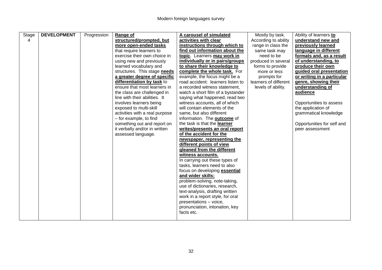| Stage | <b>DEVELOPMENT</b> | Progression | Range of                       | A carousel of simulated                                         | Mostly by task.       | Ability of learners to     |
|-------|--------------------|-------------|--------------------------------|-----------------------------------------------------------------|-----------------------|----------------------------|
| 4     |                    |             | structured/prompted, but       | activities with clear                                           | According to ability  | understand new and         |
|       |                    |             | more open-ended tasks          | instructions through which to                                   | range in class the    | previously learned         |
|       |                    |             | that require learners to       | find out information about the                                  | same task may         | language in different      |
|       |                    |             | exercise their own choice in   | topic. Learners may work in                                     | need to be            | formats and, as a result   |
|       |                    |             | using new and previously       | individually or in pairs/groups                                 | produced in several   | of understanding, to       |
|       |                    |             | learned vocabulary and         | to share their knowledge to                                     | forms to provide      | produce their own          |
|       |                    |             | structures. This stage needs   | complete the whole task. For                                    | more or less          | guided oral presentation   |
|       |                    |             | a greater degree of specific   | example, the focus might be a                                   | prompts for           | or writing in a particular |
|       |                    |             | differentiation by task to     | road accident: learners listen to                               | learners of different | genre, showing their       |
|       |                    |             | ensure that most learners in   | a recorded witness statement,                                   | levels of ability.    | understanding of           |
|       |                    |             | the class are challenged in    | watch a short film of a bystander                               |                       | audience                   |
|       |                    |             | line with their abilities. It  | saying what happened, read two                                  |                       |                            |
|       |                    |             | involves learners being        | witness accounts, all of which                                  |                       | Opportunities to assess    |
|       |                    |             | exposed to multi-skill         | will contain elements of the                                    |                       | the application of         |
|       |                    |             | activities with a real purpose | same, but also different                                        |                       | grammatical knowledge      |
|       |                    |             | - for example, to find         | information. The <b>outcome</b> of                              |                       |                            |
|       |                    |             | something out and report on    | the task is that the learner                                    |                       | Opportunities for self and |
|       |                    |             | it verbally and/or in written  | writes/presents an oral report                                  |                       | peer assessment            |
|       |                    |             | assessed language.             | of the accident for the                                         |                       |                            |
|       |                    |             |                                | newspaper, representing the                                     |                       |                            |
|       |                    |             |                                | different points of view                                        |                       |                            |
|       |                    |             |                                | gleaned from the different                                      |                       |                            |
|       |                    |             |                                | witness accounts.                                               |                       |                            |
|       |                    |             |                                | In carrying out these types of                                  |                       |                            |
|       |                    |             |                                | tasks, learners need to also                                    |                       |                            |
|       |                    |             |                                | focus on developing <b>essential</b>                            |                       |                            |
|       |                    |             |                                | and wider skills:                                               |                       |                            |
|       |                    |             |                                | problem-solving, note-taking,<br>use of dictionaries, research, |                       |                            |
|       |                    |             |                                |                                                                 |                       |                            |
|       |                    |             |                                | text-analysis, drafting written                                 |                       |                            |
|       |                    |             |                                | work in a report style, for oral                                |                       |                            |
|       |                    |             |                                | presentations - voice,<br>pronunciation, intonation, key        |                       |                            |
|       |                    |             |                                | facts etc.                                                      |                       |                            |
|       |                    |             |                                |                                                                 |                       |                            |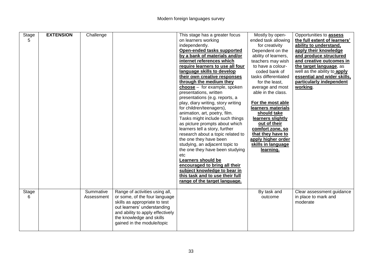| Stage<br>5 | <b>EXTENSION</b> | Challenge               |                                                                                                                                                                                                                               | This stage has a greater focus<br>on learners working<br>independently.<br>Open-ended tasks supported<br>by a bank of materials and/or<br>internet references which<br>require learners to use all four<br>language skills to develop<br>their own creative responses<br>through the medium they<br>$choose -$ for example, spoken<br>presentations, written<br>presentations (e.g. reports, a<br>play, diary writing, story writing<br>for children/teenagers),<br>animation, art, poetry, film.<br>Tasks might include such things<br>as picture prompts about which<br>learners tell a story, further<br>research about a topic related to<br>the one they have been<br>studying, an adjacent topic to<br>the one they have been studying<br>etc<br>Learners should be | Mostly by open-<br>ended task allowing<br>for creativity<br>Dependent on the<br>ability of learners,<br>teachers may wish<br>to have a colour-<br>coded bank of<br>tasks differentiated<br>for the least,<br>average and most<br>able in the class.<br>For the most able<br>learners materials<br>should take<br>learners slightly<br>out of their<br>comfort zone, so<br>that they have to<br>apply higher order<br>skills in language<br>learning. | Opportunities to <b>assess</b><br>the full extent of learners'<br>ability to understand,<br>apply their knowledge<br>and produce structured<br>and creative outcomes in<br>the target language, as<br>well as the ability to apply<br>essential and wider skills,<br>particularly independent<br>working. |
|------------|------------------|-------------------------|-------------------------------------------------------------------------------------------------------------------------------------------------------------------------------------------------------------------------------|---------------------------------------------------------------------------------------------------------------------------------------------------------------------------------------------------------------------------------------------------------------------------------------------------------------------------------------------------------------------------------------------------------------------------------------------------------------------------------------------------------------------------------------------------------------------------------------------------------------------------------------------------------------------------------------------------------------------------------------------------------------------------|------------------------------------------------------------------------------------------------------------------------------------------------------------------------------------------------------------------------------------------------------------------------------------------------------------------------------------------------------------------------------------------------------------------------------------------------------|-----------------------------------------------------------------------------------------------------------------------------------------------------------------------------------------------------------------------------------------------------------------------------------------------------------|
|            |                  |                         |                                                                                                                                                                                                                               | encouraged to bring all their<br>subject knowledge to bear in<br>this task and to use their full<br>range of the target language.                                                                                                                                                                                                                                                                                                                                                                                                                                                                                                                                                                                                                                         |                                                                                                                                                                                                                                                                                                                                                                                                                                                      |                                                                                                                                                                                                                                                                                                           |
| Stage<br>6 |                  | Summative<br>Assessment | Range of activities using all,<br>or some, of the four language<br>skills as appropriate to test<br>out learners' understanding<br>and ability to apply effectively<br>the knowledge and skills<br>gained in the module/topic |                                                                                                                                                                                                                                                                                                                                                                                                                                                                                                                                                                                                                                                                                                                                                                           | By task and<br>outcome                                                                                                                                                                                                                                                                                                                                                                                                                               | Clear assessment guidance<br>in place to mark and<br>moderate                                                                                                                                                                                                                                             |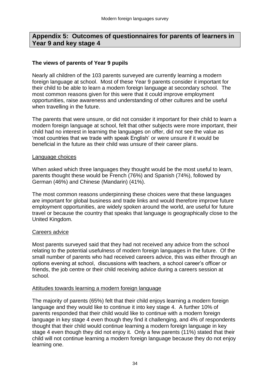## **Appendix 5: Outcomes of questionnaires for parents of learners in Year 9 and key stage 4**

#### **The views of parents of Year 9 pupils**

Nearly all children of the 103 parents surveyed are currently learning a modern foreign language at school. Most of these Year 9 parents consider it important for their child to be able to learn a modern foreign language at secondary school. The most common reasons given for this were that it could improve employment opportunities, raise awareness and understanding of other cultures and be useful when travelling in the future.

The parents that were unsure, or did not consider it important for their child to learn a modern foreign language at school, felt that other subjects were more important, their child had no interest in learning the languages on offer, did not see the value as 'most countries that we trade with speak English' or were unsure if it would be beneficial in the future as their child was unsure of their career plans.

#### Language choices

When asked which three languages they thought would be the most useful to learn, parents thought these would be French (76%) and Spanish (74%), followed by German (46%) and Chinese (Mandarin) (41%).

The most common reasons underpinning these choices were that these languages are important for global business and trade links and would therefore improve future employment opportunities, are widely spoken around the world, are useful for future travel or because the country that speaks that language is geographically close to the United Kingdom.

#### Careers advice

Most parents surveyed said that they had not received any advice from the school relating to the potential usefulness of modern foreign languages in the future. Of the small number of parents who had received careers advice, this was either through an options evening at school, discussions with teachers, a school career's officer or friends, the job centre or their child receiving advice during a careers session at school.

#### Attitudes towards learning a modern foreign language

The majority of parents (65%) felt that their child enjoys learning a modern foreign language and they would like to continue it into key stage 4. A further 10% of parents responded that their child would like to continue with a modern foreign language in key stage 4 even though they find it challenging, and 4% of respondents thought that their child would continue learning a modern foreign language in key stage 4 even though they did not enjoy it. Only a few parents (11%) stated that their child will not continue learning a modern foreign language because they do not enjoy learning one.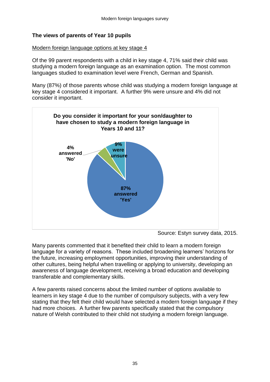## **The views of parents of Year 10 pupils**

#### Modern foreign language options at key stage 4

Of the 99 parent respondents with a child in key stage 4, 71% said their child was studying a modern foreign language as an examination option. The most common languages studied to examination level were French, German and Spanish.

Many (87%) of those parents whose child was studying a modern foreign language at key stage 4 considered it important. A further 9% were unsure and 4% did not consider it important.



Source: Estyn survey data, 2015.

Many parents commented that it benefited their child to learn a modern foreign language for a variety of reasons. These included broadening learners' horizons for the future, increasing employment opportunities, improving their understanding of other cultures, being helpful when travelling or applying to university, developing an awareness of language development, receiving a broad education and developing transferable and complementary skills.

A few parents raised concerns about the limited number of options available to learners in key stage 4 due to the number of compulsory subjects, with a very few stating that they felt their child would have selected a modern foreign language if they had more choices. A further few parents specifically stated that the compulsory nature of Welsh contributed to their child not studying a modern foreign language.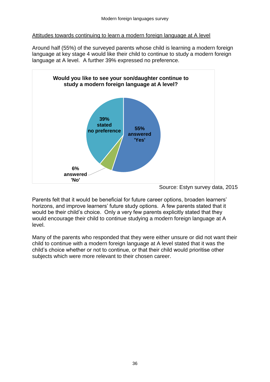#### Attitudes towards continuing to learn a modern foreign language at A level

Around half (55%) of the surveyed parents whose child is learning a modern foreign language at key stage 4 would like their child to continue to study a modern foreign language at A level. A further 39% expressed no preference.



Source: Estyn survey data, 2015

Parents felt that it would be beneficial for future career options, broaden learners' horizons, and improve learners' future study options. A few parents stated that it would be their child's choice. Only a very few parents explicitly stated that they would encourage their child to continue studying a modern foreign language at A level.

Many of the parents who responded that they were either unsure or did not want their child to continue with a modern foreign language at A level stated that it was the child's choice whether or not to continue, or that their child would prioritise other subjects which were more relevant to their chosen career.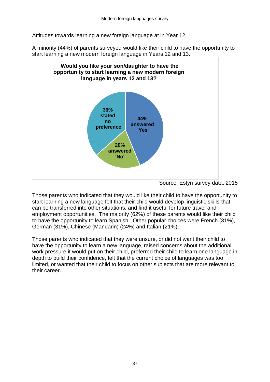#### Attitudes towards learning a new foreign language at in Year 12

A minority (44%) of parents surveyed would like their child to have the opportunity to start learning a new modern foreign language in Years 12 and 13.



Source: Estyn survey data, 2015

Those parents who indicated that they would like their child to have the opportunity to start learning a new language felt that their child would develop linguistic skills that can be transferred into other situations, and find it useful for future travel and employment opportunities. The majority (62%) of these parents would like their child to have the opportunity to learn Spanish. Other popular choices were French (31%), German (31%), Chinese (Mandarin) (24%) and Italian (21%).

Those parents who indicated that they were unsure, or did not want their child to have the opportunity to learn a new language, raised concerns about the additional work pressure it would put on their child, preferred their child to learn one language in depth to build their confidence, felt that the current choice of languages was too limited, or wanted that their child to focus on other subjects that are more relevant to their career.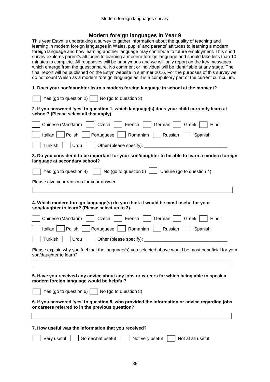#### **Modern foreign languages in Year 9**

This year Estyn is undertaking a survey to gather information about the quality of teaching and learning in modern foreign languages in Wales, pupils' and parents' attitudes to learning a modern foreign language and how learning another language may contribute to future employment. This short survey explores parent's attitudes to learning a modern foreign language and should take less than 10 minutes to complete. All responses will be anonymous and we will only report on the key messages which emerge from the questionnaire. No comment or individual will be identifiable at any stage. The final report will be published on the Estyn website in summer 2016. For the purposes of this survey we do not count Welsh as a modern foreign language as it is a compulsory part of the current curriculum.

#### **1. Does your son/daughter learn a modern foreign language in school at the moment?**

| Yes (go to question 2) $\vert$<br>No (go to question 3)                                                                                           |
|---------------------------------------------------------------------------------------------------------------------------------------------------|
| 2. If you answered 'yes' to question 1, which language(s) does your child currently learn at<br>school? (Please select all that apply).           |
| Hindi<br>Chinese (Mandarin)<br>French<br>German<br>Greek<br>Czech                                                                                 |
| Italian<br>Portuguese<br>Romanian<br>Russian<br>Polish<br>Spanish                                                                                 |
| Turkish<br>Urdu<br>Other (please specify): ________                                                                                               |
| 3. Do you consider it to be important for your son/daughter to be able to learn a modern foreign<br>language at secondary school?                 |
| No (go to question 5) $\Box$ Unsure (go to question 4)<br>Yes (go to question 4)                                                                  |
| Please give your reasons for your answer                                                                                                          |
|                                                                                                                                                   |
| 4. Which modern foreign language(s) do you think it would be most useful for your<br>son/daughter to learn? (Please select up to 3).              |
| Greek<br>Hindi<br>Chinese (Mandarin)<br>Czech<br>French<br>German                                                                                 |
| Italian<br>Polish<br>Portuguese<br>Romanian<br>Russian<br>Spanish                                                                                 |
| <b>Turkish</b><br>Urdu                                                                                                                            |
| Please explain why you feel that the language(s) you selected above would be most beneficial for your<br>son/daughter to learn?                   |
|                                                                                                                                                   |
| 5. Have you received any advice about any jobs or careers for which being able to speak a<br>modern foreign language would be helpful?            |
| Yes (go to question 6) $\vert$<br>No (go to question 8)                                                                                           |
| 6. If you answered 'yes' to question 5, who provided the information or advice regarding jobs<br>or careers referred to in the previous question? |
|                                                                                                                                                   |
| 7. How useful was the information that you received?                                                                                              |
| Somewhat useful<br>Very useful<br>Not very useful<br>Not at all useful                                                                            |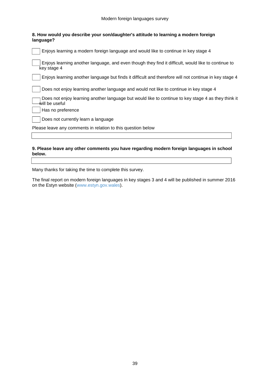| 8. How would you describe your son/daughter's attitude to learning a modern foreign<br>language?                      |
|-----------------------------------------------------------------------------------------------------------------------|
| Enjoys learning a modern foreign language and would like to continue in key stage 4                                   |
| Enjoys learning another language, and even though they find it difficult, would like to continue to<br>key stage 4    |
| Enjoys learning another language but finds it difficult and therefore will not continue in key stage 4                |
| Does not enjoy learning another language and would not like to continue in key stage 4                                |
| Does not enjoy learning another language but would like to continue to key stage 4 as they think it<br>will be useful |
| Has no preference                                                                                                     |
| Does not currently learn a language                                                                                   |
| Please leave any comments in relation to this question below                                                          |
|                                                                                                                       |
|                                                                                                                       |

#### **9. Please leave any other comments you have regarding modern foreign languages in school below.**

Many thanks for taking the time to complete this survey.

The final report on modern foreign languages in key stages 3 and 4 will be published in summer 2016 on the Estyn website [\(www.estyn.gov.wales\)](http://www.estyn.gov.wales/).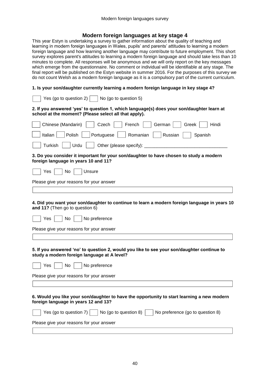#### **Modern foreign languages at key stage 4**

This year Estyn is undertaking a survey to gather information about the quality of teaching and learning in modern foreign languages in Wales, pupils' and parents' attitudes to learning a modern foreign language and how learning another language may contribute to future employment. This short survey explores parent's attitudes to learning a modern foreign language and should take less than 10 minutes to complete. All responses will be anonymous and we will only report on the key messages which emerge from the questionnaire. No comment or individual will be identifiable at any stage. The final report will be published on the Estyn website in summer 2016. For the purposes of this survey we do not count Welsh as a modern foreign language as it is a compulsory part of the current curriculum.

#### **1. Is your son/daughter currently learning a modern foreign language in key stage 4?**

| Yes (go to question 2) $ $<br>No (go to question 5)                                                                                                |
|----------------------------------------------------------------------------------------------------------------------------------------------------|
| 2. If you answered 'yes' to question 1, which language(s) does your son/daughter learn at<br>school at the moment? (Please select all that apply). |
| Chinese (Mandarin)<br>German<br>Greek<br>Hindi<br>Czech<br>French                                                                                  |
| Italian<br>Polish<br>Romanian<br>Portuguese<br>Russian<br>Spanish                                                                                  |
| Turkish<br>Urdu<br>Other (please specify):                                                                                                         |
| 3. Do you consider it important for your son/daughter to have chosen to study a modern<br>foreign language in years 10 and 11?                     |
| Yes<br>No<br>Unsure                                                                                                                                |
| Please give your reasons for your answer                                                                                                           |
|                                                                                                                                                    |
| 4. Did you want your son/daughter to continue to learn a modern foreign language in years 10<br>and 11? (Then go to question 6)                    |
| No preference<br>Yes<br>No                                                                                                                         |
| Please give your reasons for your answer                                                                                                           |
|                                                                                                                                                    |
| 5. If you answered 'no' to question 2, would you like to see your son/daughter continue to<br>study a modern foreign language at A level?          |
| No preference<br>Yes<br>No                                                                                                                         |
| Please give your reasons for your answer                                                                                                           |
|                                                                                                                                                    |
| 6. Would you like your son/daughter to have the opportunity to start learning a new modern<br>foreign language in years 12 and 13?                 |
| Yes (go to question 7)<br>No (go to question 8)<br>No preference (go to question 8)                                                                |
| Please give your reasons for your answer                                                                                                           |
|                                                                                                                                                    |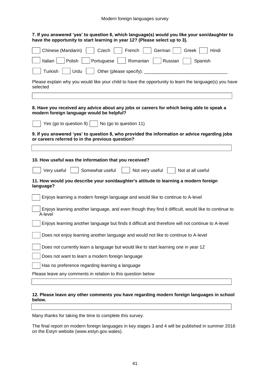#### Modern foreign languages survey

| 7. If you answered 'yes' to question 6, which language(s) would you like your son/daughter to<br>have the opportunity to start learning in year 12? (Please select up to 3). |
|------------------------------------------------------------------------------------------------------------------------------------------------------------------------------|
| Chinese (Mandarin)<br>Czech<br>French<br>German<br>Greek<br>Hindi                                                                                                            |
| Italian<br>Polish<br>Russian<br>Portuguese<br>Romanian<br>Spanish                                                                                                            |
| <b>Turkish</b><br>Urdu<br>Other (please specify):                                                                                                                            |
| Please explain why you would like your child to have the opportunity to learn the language(s) you have<br>selected                                                           |
| 8. Have you received any advice about any jobs or careers for which being able to speak a                                                                                    |
| modern foreign language would be helpful?                                                                                                                                    |
| Yes (go to question 9) $\vert$ $\vert$ No (go to question 11)                                                                                                                |
| 9. If you answered 'yes' to question 8, who provided the information or advice regarding jobs<br>or careers referred to in the previous question?                            |
|                                                                                                                                                                              |
| 10. How useful was the information that you received?                                                                                                                        |
| Very useful<br>Somewhat useful<br>Not very useful<br>Not at all useful                                                                                                       |
| 11. How would you describe your son/daughter's attitude to learning a modern foreign<br>language?                                                                            |
| Enjoys learning a modern foreign language and would like to continue to A-level                                                                                              |
| Enjoys learning another language, and even though they find it difficult, would like to continue to<br>A-level                                                               |
| Enjoys learning another language but finds it difficult and therefore will not continue to A-level                                                                           |
| Does not enjoy learning another language and would not like to continue to A-level                                                                                           |
| Does not currently learn a language but would like to start learning one in year 12                                                                                          |
| Does not want to learn a modern foreign language                                                                                                                             |
| Has no preference regarding learning a language                                                                                                                              |
| Please leave any comments in relation to this question below                                                                                                                 |
|                                                                                                                                                                              |

#### **12. Please leave any other comments you have regarding modern foreign languages in school below.**

Many thanks for taking the time to complete this survey.

The final report on modern foreign languages in key stages 3 and 4 will be published in summer 2016 on the Estyn website [\(www.estyn.gov.wales\)](http://www.estyn.gov.wales/).